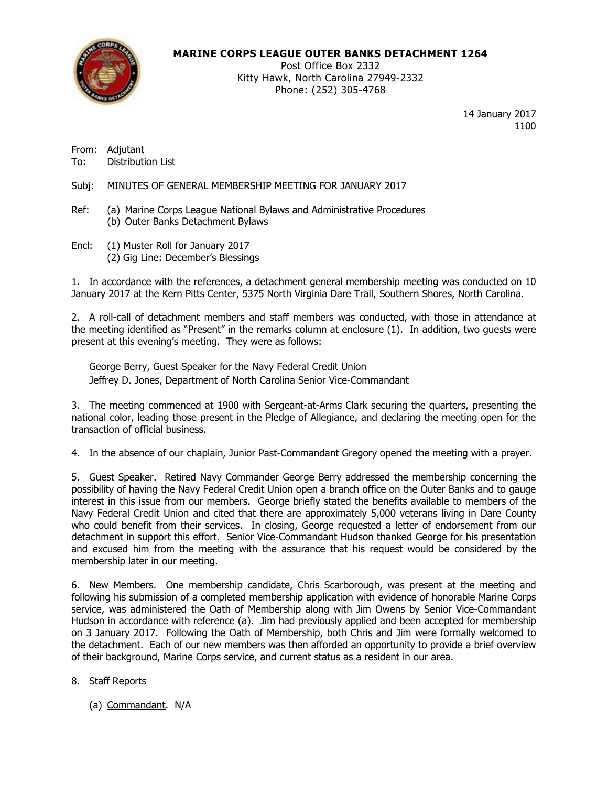

### **MARINE CORPS LEAGUE OUTER BANKS DETACHMENT 1264**

Post Office Box 2332 Kitty Hawk, North Carolina 27949-2332 Phone: (252) 305-4768

> 14 January 2017 1100

From: Adjutant To: Distribution List

Subj: MINUTES OF GENERAL MEMBERSHIP MEETING FOR JANUARY 2017

- Ref: (a) Marine Corps League National Bylaws and Administrative Procedures (b) Outer Banks Detachment Bylaws
- Encl: (1) Muster Roll for January 2017 (2) Gig Line: December's Blessings

1. In accordance with the references, a detachment general membership meeting was conducted on 10 January 2017 at the Kern Pitts Center, 5375 North Virginia Dare Trail, Southern Shores, North Carolina.

2. A roll-call of detachment members and staff members was conducted, with those in attendance at the meeting identified as "Present" in the remarks column at enclosure (1). In addition, two guests were present at this evening's meeting. They were as follows:

George Berry, Guest Speaker for the Navy Federal Credit Union Jeffrey D. Jones, Department of North Carolina Senior Vice-Commandant

3. The meeting commenced at 1900 with Sergeant-at-Arms Clark securing the quarters, presenting the national color, leading those present in the Pledge of Allegiance, and declaring the meeting open for the transaction of official business.

4. In the absence of our chaplain, Junior Past-Commandant Gregory opened the meeting with a prayer.

5. Guest Speaker. Retired Navy Commander George Berry addressed the membership concerning the possibility of having the Navy Federal Credit Union open a branch office on the Outer Banks and to gauge interest in this issue from our members. George briefly stated the benefits available to members of the Navy Federal Credit Union and cited that there are approximately 5,000 veterans living in Dare County who could benefit from their services. In closing, George requested a letter of endorsement from our detachment in support this effort. Senior Vice-Commandant Hudson thanked George for his presentation and excused him from the meeting with the assurance that his request would be considered by the membership later in our meeting.

6. New Members. One membership candidate, Chris Scarborough, was present at the meeting and following his submission of a completed membership application with evidence of honorable Marine Corps service, was administered the Oath of Membership along with Jim Owens by Senior Vice-Commandant Hudson in accordance with reference (a). Jim had previously applied and been accepted for membership on 3 January 2017. Following the Oath of Membership, both Chris and Jim were formally welcomed to the detachment. Each of our new members was then afforded an opportunity to provide a brief overview of their background, Marine Corps service, and current status as a resident in our area.

- 8. Staff Reports
	- (a) Commandant. N/A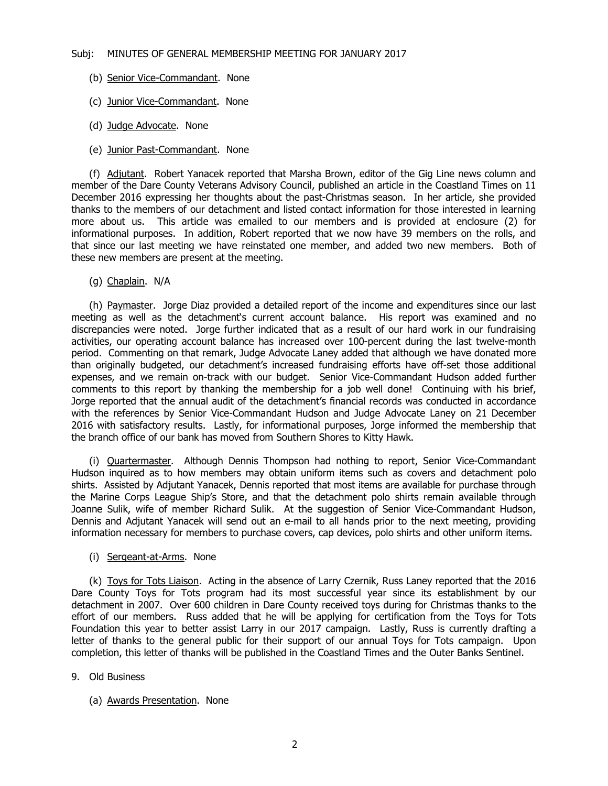- (b) Senior Vice-Commandant. None
- (c) Junior Vice-Commandant. None
- (d) Judge Advocate. None
- (e) Junior Past-Commandant. None

(f) Adjutant. Robert Yanacek reported that Marsha Brown, editor of the Gig Line news column and member of the Dare County Veterans Advisory Council, published an article in the Coastland Times on 11 December 2016 expressing her thoughts about the past-Christmas season. In her article, she provided thanks to the members of our detachment and listed contact information for those interested in learning more about us. This article was emailed to our members and is provided at enclosure (2) for informational purposes. In addition, Robert reported that we now have 39 members on the rolls, and that since our last meeting we have reinstated one member, and added two new members. Both of these new members are present at the meeting.

(g) Chaplain. N/A

(h) Paymaster. Jorge Diaz provided a detailed report of the income and expenditures since our last meeting as well as the detachment's current account balance. His report was examined and no discrepancies were noted. Jorge further indicated that as a result of our hard work in our fundraising activities, our operating account balance has increased over 100-percent during the last twelve-month period. Commenting on that remark, Judge Advocate Laney added that although we have donated more than originally budgeted, our detachment's increased fundraising efforts have off-set those additional expenses, and we remain on-track with our budget. Senior Vice-Commandant Hudson added further comments to this report by thanking the membership for a job well done! Continuing with his brief, Jorge reported that the annual audit of the detachment's financial records was conducted in accordance with the references by Senior Vice-Commandant Hudson and Judge Advocate Laney on 21 December 2016 with satisfactory results. Lastly, for informational purposes, Jorge informed the membership that the branch office of our bank has moved from Southern Shores to Kitty Hawk.

(i) Quartermaster. Although Dennis Thompson had nothing to report, Senior Vice-Commandant Hudson inquired as to how members may obtain uniform items such as covers and detachment polo shirts. Assisted by Adjutant Yanacek, Dennis reported that most items are available for purchase through the Marine Corps League Ship's Store, and that the detachment polo shirts remain available through Joanne Sulik, wife of member Richard Sulik. At the suggestion of Senior Vice-Commandant Hudson, Dennis and Adjutant Yanacek will send out an e-mail to all hands prior to the next meeting, providing information necessary for members to purchase covers, cap devices, polo shirts and other uniform items.

(i) Sergeant-at-Arms. None

(k) Toys for Tots Liaison. Acting in the absence of Larry Czernik, Russ Laney reported that the 2016 Dare County Toys for Tots program had its most successful year since its establishment by our detachment in 2007. Over 600 children in Dare County received toys during for Christmas thanks to the effort of our members. Russ added that he will be applying for certification from the Toys for Tots Foundation this year to better assist Larry in our 2017 campaign. Lastly, Russ is currently drafting a letter of thanks to the general public for their support of our annual Toys for Tots campaign. Upon completion, this letter of thanks will be published in the Coastland Times and the Outer Banks Sentinel.

- 9. Old Business
	- (a) Awards Presentation. None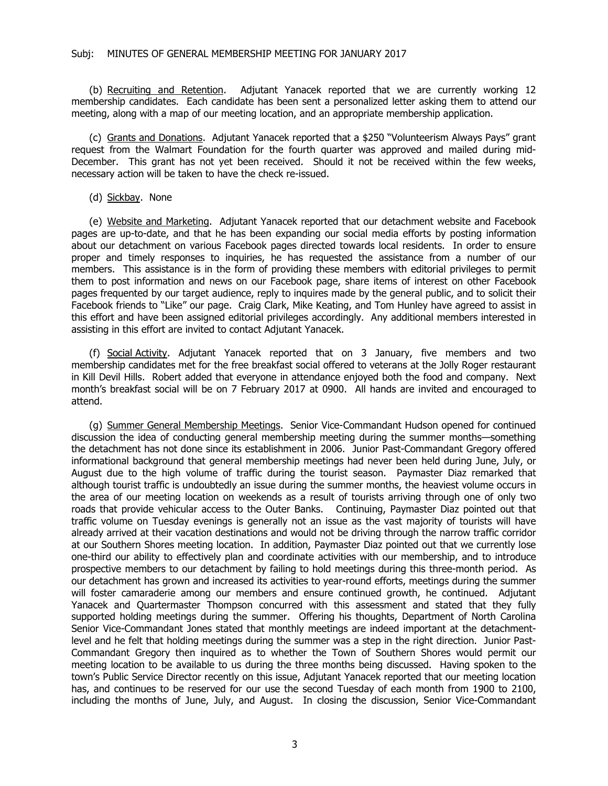(b) Recruiting and Retention. Adjutant Yanacek reported that we are currently working 12 membership candidates. Each candidate has been sent a personalized letter asking them to attend our meeting, along with a map of our meeting location, and an appropriate membership application.

(c) Grants and Donations. Adjutant Yanacek reported that a \$250 "Volunteerism Always Pays" grant request from the Walmart Foundation for the fourth quarter was approved and mailed during mid-December. This grant has not yet been received. Should it not be received within the few weeks, necessary action will be taken to have the check re-issued.

(d) Sickbay. None

(e) Website and Marketing. Adjutant Yanacek reported that our detachment website and Facebook pages are up-to-date, and that he has been expanding our social media efforts by posting information about our detachment on various Facebook pages directed towards local residents. In order to ensure proper and timely responses to inquiries, he has requested the assistance from a number of our members. This assistance is in the form of providing these members with editorial privileges to permit them to post information and news on our Facebook page, share items of interest on other Facebook pages frequented by our target audience, reply to inquires made by the general public, and to solicit their Facebook friends to "Like" our page. Craig Clark, Mike Keating, and Tom Hunley have agreed to assist in this effort and have been assigned editorial privileges accordingly. Any additional members interested in assisting in this effort are invited to contact Adjutant Yanacek.

(f) Social Activity. Adjutant Yanacek reported that on 3 January, five members and two membership candidates met for the free breakfast social offered to veterans at the Jolly Roger restaurant in Kill Devil Hills. Robert added that everyone in attendance enjoyed both the food and company. Next month's breakfast social will be on 7 February 2017 at 0900. All hands are invited and encouraged to attend.

(g) Summer General Membership Meetings. Senior Vice-Commandant Hudson opened for continued discussion the idea of conducting general membership meeting during the summer months—something the detachment has not done since its establishment in 2006. Junior Past-Commandant Gregory offered informational background that general membership meetings had never been held during June, July, or August due to the high volume of traffic during the tourist season. Paymaster Diaz remarked that although tourist traffic is undoubtedly an issue during the summer months, the heaviest volume occurs in the area of our meeting location on weekends as a result of tourists arriving through one of only two roads that provide vehicular access to the Outer Banks. Continuing, Paymaster Diaz pointed out that traffic volume on Tuesday evenings is generally not an issue as the vast majority of tourists will have already arrived at their vacation destinations and would not be driving through the narrow traffic corridor at our Southern Shores meeting location. In addition, Paymaster Diaz pointed out that we currently lose one-third our ability to effectively plan and coordinate activities with our membership, and to introduce prospective members to our detachment by failing to hold meetings during this three-month period. As our detachment has grown and increased its activities to year-round efforts, meetings during the summer will foster camaraderie among our members and ensure continued growth, he continued. Adjutant Yanacek and Quartermaster Thompson concurred with this assessment and stated that they fully supported holding meetings during the summer. Offering his thoughts, Department of North Carolina Senior Vice-Commandant Jones stated that monthly meetings are indeed important at the detachmentlevel and he felt that holding meetings during the summer was a step in the right direction. Junior Past-Commandant Gregory then inquired as to whether the Town of Southern Shores would permit our meeting location to be available to us during the three months being discussed. Having spoken to the town's Public Service Director recently on this issue, Adjutant Yanacek reported that our meeting location has, and continues to be reserved for our use the second Tuesday of each month from 1900 to 2100, including the months of June, July, and August. In closing the discussion, Senior Vice-Commandant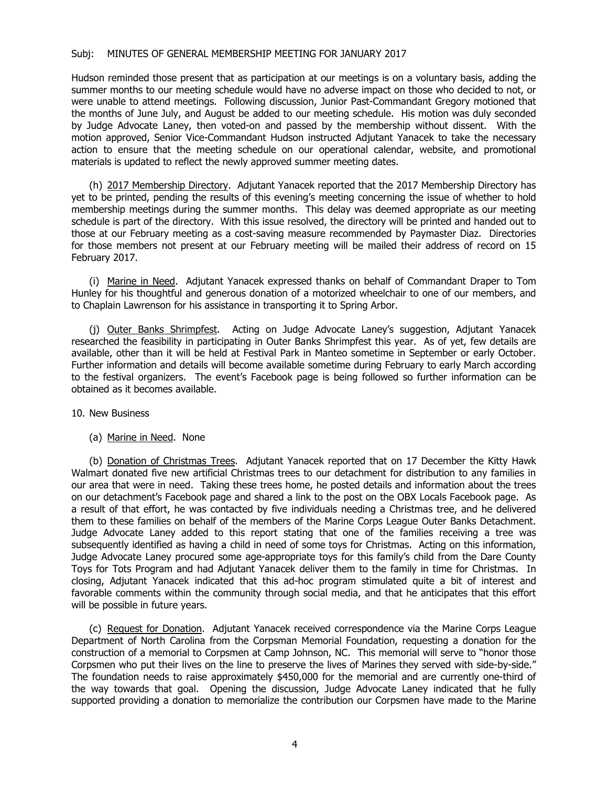Hudson reminded those present that as participation at our meetings is on a voluntary basis, adding the summer months to our meeting schedule would have no adverse impact on those who decided to not, or were unable to attend meetings. Following discussion, Junior Past-Commandant Gregory motioned that the months of June July, and August be added to our meeting schedule. His motion was duly seconded by Judge Advocate Laney, then voted-on and passed by the membership without dissent. With the motion approved, Senior Vice-Commandant Hudson instructed Adjutant Yanacek to take the necessary action to ensure that the meeting schedule on our operational calendar, website, and promotional materials is updated to reflect the newly approved summer meeting dates.

(h) 2017 Membership Directory. Adjutant Yanacek reported that the 2017 Membership Directory has yet to be printed, pending the results of this evening's meeting concerning the issue of whether to hold membership meetings during the summer months. This delay was deemed appropriate as our meeting schedule is part of the directory. With this issue resolved, the directory will be printed and handed out to those at our February meeting as a cost-saving measure recommended by Paymaster Diaz. Directories for those members not present at our February meeting will be mailed their address of record on 15 February 2017.

(i) Marine in Need. Adjutant Yanacek expressed thanks on behalf of Commandant Draper to Tom Hunley for his thoughtful and generous donation of a motorized wheelchair to one of our members, and to Chaplain Lawrenson for his assistance in transporting it to Spring Arbor.

(j) Outer Banks Shrimpfest. Acting on Judge Advocate Laney's suggestion, Adjutant Yanacek researched the feasibility in participating in Outer Banks Shrimpfest this year. As of yet, few details are available, other than it will be held at Festival Park in Manteo sometime in September or early October. Further information and details will become available sometime during February to early March according to the festival organizers. The event's Facebook page is being followed so further information can be obtained as it becomes available.

10. New Business

(a) Marine in Need. None

(b) Donation of Christmas Trees. Adjutant Yanacek reported that on 17 December the Kitty Hawk Walmart donated five new artificial Christmas trees to our detachment for distribution to any families in our area that were in need. Taking these trees home, he posted details and information about the trees on our detachment's Facebook page and shared a link to the post on the OBX Locals Facebook page. As a result of that effort, he was contacted by five individuals needing a Christmas tree, and he delivered them to these families on behalf of the members of the Marine Corps League Outer Banks Detachment. Judge Advocate Laney added to this report stating that one of the families receiving a tree was subsequently identified as having a child in need of some toys for Christmas. Acting on this information, Judge Advocate Laney procured some age-appropriate toys for this family's child from the Dare County Toys for Tots Program and had Adjutant Yanacek deliver them to the family in time for Christmas. In closing, Adjutant Yanacek indicated that this ad-hoc program stimulated quite a bit of interest and favorable comments within the community through social media, and that he anticipates that this effort will be possible in future years.

(c) Request for Donation. Adjutant Yanacek received correspondence via the Marine Corps League Department of North Carolina from the Corpsman Memorial Foundation, requesting a donation for the construction of a memorial to Corpsmen at Camp Johnson, NC. This memorial will serve to "honor those Corpsmen who put their lives on the line to preserve the lives of Marines they served with side-by-side." The foundation needs to raise approximately \$450,000 for the memorial and are currently one-third of the way towards that goal. Opening the discussion, Judge Advocate Laney indicated that he fully supported providing a donation to memorialize the contribution our Corpsmen have made to the Marine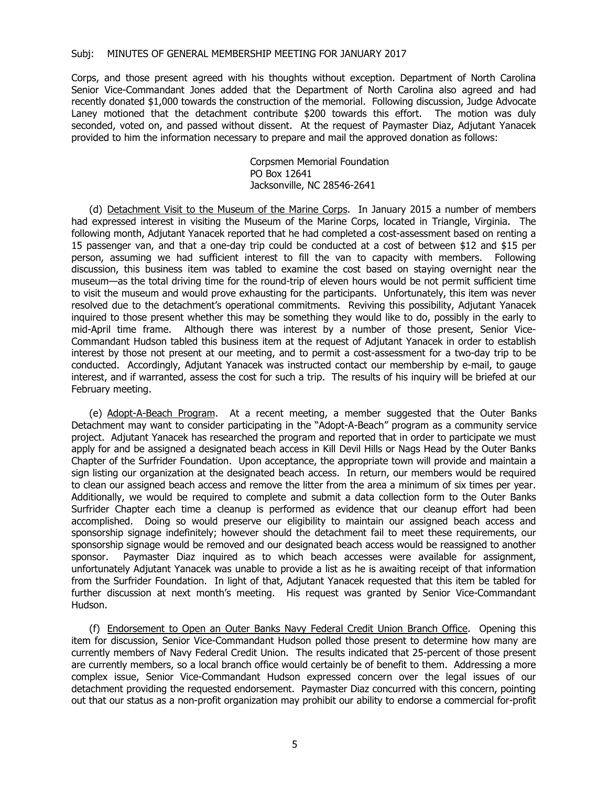Corps, and those present agreed with his thoughts without exception. Department of North Carolina Senior Vice-Commandant Jones added that the Department of North Carolina also agreed and had recently donated \$1,000 towards the construction of the memorial. Following discussion, Judge Advocate Laney motioned that the detachment contribute \$200 towards this effort. The motion was duly seconded, voted on, and passed without dissent. At the request of Paymaster Diaz, Adjutant Yanacek provided to him the information necessary to prepare and mail the approved donation as follows:

> Corpsmen Memorial Foundation PO Box 12641 Jacksonville, NC 28546-2641

(d) Detachment Visit to the Museum of the Marine Corps. In January 2015 a number of members had expressed interest in visiting the Museum of the Marine Corps, located in Triangle, Virginia. The following month, Adjutant Yanacek reported that he had completed a cost-assessment based on renting a 15 passenger van, and that a one-day trip could be conducted at a cost of between \$12 and \$15 per person, assuming we had sufficient interest to fill the van to capacity with members. Following discussion, this business item was tabled to examine the cost based on staying overnight near the museum—as the total driving time for the round-trip of eleven hours would be not permit sufficient time to visit the museum and would prove exhausting for the participants. Unfortunately, this item was never resolved due to the detachment's operational commitments. Reviving this possibility, Adjutant Yanacek inquired to those present whether this may be something they would like to do, possibly in the early to mid-April time frame. Although there was interest by a number of those present, Senior Vice-Commandant Hudson tabled this business item at the request of Adjutant Yanacek in order to establish interest by those not present at our meeting, and to permit a cost-assessment for a two-day trip to be conducted. Accordingly, Adjutant Yanacek was instructed contact our membership by e-mail, to gauge interest, and if warranted, assess the cost for such a trip. The results of his inquiry will be briefed at our February meeting.

(e) Adopt-A-Beach Program. At a recent meeting, a member suggested that the Outer Banks Detachment may want to consider participating in the "Adopt-A-Beach" program as a community service project. Adjutant Yanacek has researched the program and reported that in order to participate we must apply for and be assigned a designated beach access in Kill Devil Hills or Nags Head by the Outer Banks Chapter of the Surfrider Foundation. Upon acceptance, the appropriate town will provide and maintain a sign listing our organization at the designated beach access. In return, our members would be required to clean our assigned beach access and remove the litter from the area a minimum of six times per year. Additionally, we would be required to complete and submit a data collection form to the Outer Banks Surfrider Chapter each time a cleanup is performed as evidence that our cleanup effort had been accomplished. Doing so would preserve our eligibility to maintain our assigned beach access and sponsorship signage indefinitely; however should the detachment fail to meet these requirements, our sponsorship signage would be removed and our designated beach access would be reassigned to another sponsor. Paymaster Diaz inquired as to which beach accesses were available for assignment, unfortunately Adjutant Yanacek was unable to provide a list as he is awaiting receipt of that information from the Surfrider Foundation. In light of that, Adjutant Yanacek requested that this item be tabled for further discussion at next month's meeting. His request was granted by Senior Vice-Commandant Hudson.

(f) Endorsement to Open an Outer Banks Navy Federal Credit Union Branch Office. Opening this item for discussion, Senior Vice-Commandant Hudson polled those present to determine how many are currently members of Navy Federal Credit Union. The results indicated that 25-percent of those present are currently members, so a local branch office would certainly be of benefit to them. Addressing a more complex issue, Senior Vice-Commandant Hudson expressed concern over the legal issues of our detachment providing the requested endorsement. Paymaster Diaz concurred with this concern, pointing out that our status as a non-profit organization may prohibit our ability to endorse a commercial for-profit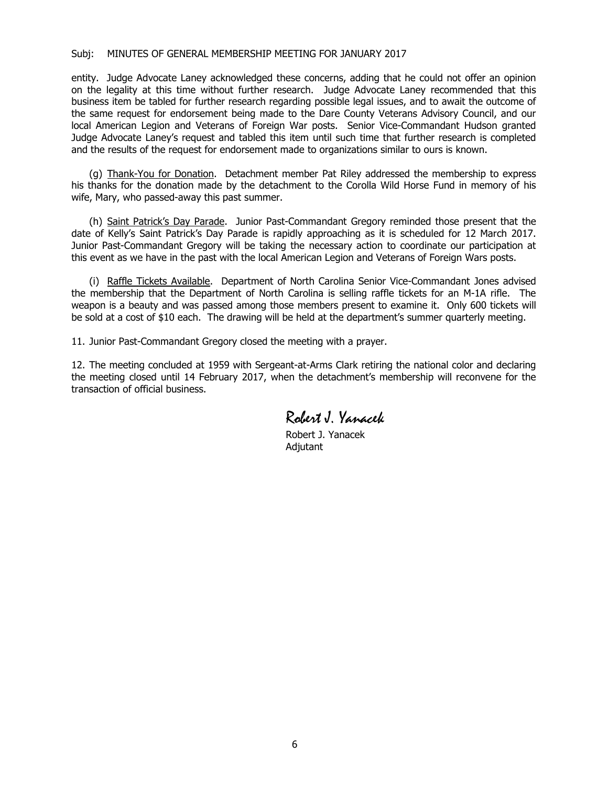entity. Judge Advocate Laney acknowledged these concerns, adding that he could not offer an opinion on the legality at this time without further research. Judge Advocate Laney recommended that this business item be tabled for further research regarding possible legal issues, and to await the outcome of the same request for endorsement being made to the Dare County Veterans Advisory Council, and our local American Legion and Veterans of Foreign War posts. Senior Vice-Commandant Hudson granted Judge Advocate Laney's request and tabled this item until such time that further research is completed and the results of the request for endorsement made to organizations similar to ours is known.

(g) Thank-You for Donation. Detachment member Pat Riley addressed the membership to express his thanks for the donation made by the detachment to the Corolla Wild Horse Fund in memory of his wife, Mary, who passed-away this past summer.

(h) Saint Patrick's Day Parade. Junior Past-Commandant Gregory reminded those present that the date of Kelly's Saint Patrick's Day Parade is rapidly approaching as it is scheduled for 12 March 2017. Junior Past-Commandant Gregory will be taking the necessary action to coordinate our participation at this event as we have in the past with the local American Legion and Veterans of Foreign Wars posts.

(i) Raffle Tickets Available. Department of North Carolina Senior Vice-Commandant Jones advised the membership that the Department of North Carolina is selling raffle tickets for an M-1A rifle. The weapon is a beauty and was passed among those members present to examine it. Only 600 tickets will be sold at a cost of \$10 each. The drawing will be held at the department's summer quarterly meeting.

11. Junior Past-Commandant Gregory closed the meeting with a prayer.

12. The meeting concluded at 1959 with Sergeant-at-Arms Clark retiring the national color and declaring the meeting closed until 14 February 2017, when the detachment's membership will reconvene for the transaction of official business.

Robert J. Yanacek

Robert J. Yanacek Adjutant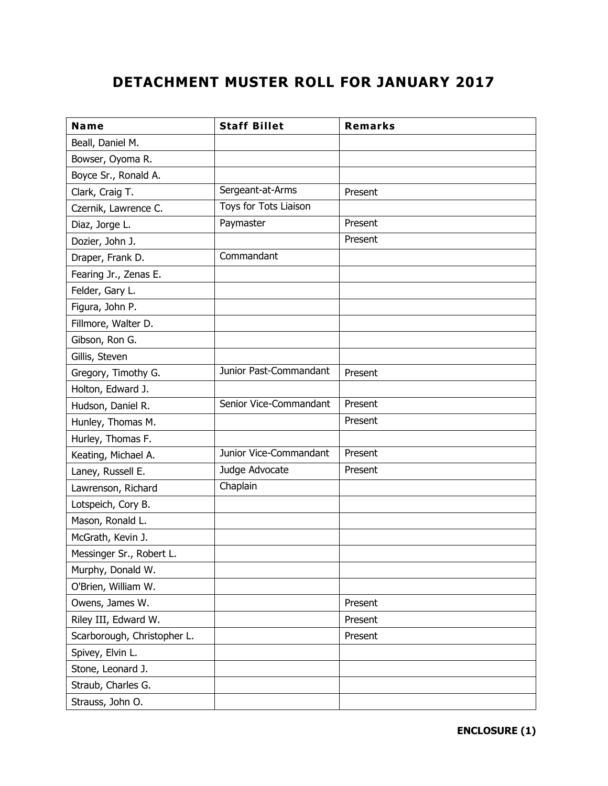## **DETACHMENT MUSTER ROLL FOR JANUARY 2017**

| <b>Name</b>                 | <b>Staff Billet</b>    | <b>Remarks</b> |
|-----------------------------|------------------------|----------------|
| Beall, Daniel M.            |                        |                |
| Bowser, Oyoma R.            |                        |                |
| Boyce Sr., Ronald A.        |                        |                |
| Clark, Craig T.             | Sergeant-at-Arms       | Present        |
| Czernik, Lawrence C.        | Toys for Tots Liaison  |                |
| Diaz, Jorge L.              | Paymaster              | Present        |
| Dozier, John J.             |                        | Present        |
| Draper, Frank D.            | Commandant             |                |
| Fearing Jr., Zenas E.       |                        |                |
| Felder, Gary L.             |                        |                |
| Figura, John P.             |                        |                |
| Fillmore, Walter D.         |                        |                |
| Gibson, Ron G.              |                        |                |
| Gillis, Steven              |                        |                |
| Gregory, Timothy G.         | Junior Past-Commandant | Present        |
| Holton, Edward J.           |                        |                |
| Hudson, Daniel R.           | Senior Vice-Commandant | Present        |
| Hunley, Thomas M.           |                        | Present        |
| Hurley, Thomas F.           |                        |                |
| Keating, Michael A.         | Junior Vice-Commandant | Present        |
| Laney, Russell E.           | Judge Advocate         | Present        |
| Lawrenson, Richard          | Chaplain               |                |
| Lotspeich, Cory B.          |                        |                |
| Mason, Ronald L.            |                        |                |
| McGrath, Kevin J.           |                        |                |
| Messinger Sr., Robert L.    |                        |                |
| Murphy, Donald W.           |                        |                |
| O'Brien, William W.         |                        |                |
| Owens, James W.             |                        | Present        |
| Riley III, Edward W.        |                        | Present        |
| Scarborough, Christopher L. |                        | Present        |
| Spivey, Elvin L.            |                        |                |
| Stone, Leonard J.           |                        |                |
| Straub, Charles G.          |                        |                |
| Strauss, John O.            |                        |                |

**ENCLOSURE (1)**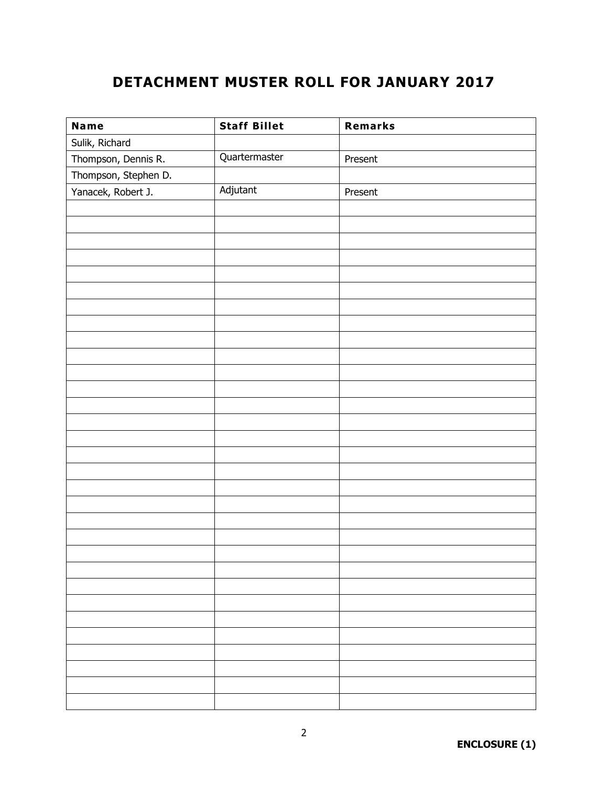## **DETACHMENT MUSTER ROLL FOR JANUARY 2017**

| <b>Name</b>          | <b>Staff Billet</b> | Remarks |
|----------------------|---------------------|---------|
| Sulik, Richard       |                     |         |
| Thompson, Dennis R.  | Quartermaster       | Present |
| Thompson, Stephen D. |                     |         |
| Yanacek, Robert J.   | Adjutant            | Present |
|                      |                     |         |
|                      |                     |         |
|                      |                     |         |
|                      |                     |         |
|                      |                     |         |
|                      |                     |         |
|                      |                     |         |
|                      |                     |         |
|                      |                     |         |
|                      |                     |         |
|                      |                     |         |
|                      |                     |         |
|                      |                     |         |
|                      |                     |         |
|                      |                     |         |
|                      |                     |         |
|                      |                     |         |
|                      |                     |         |
|                      |                     |         |
|                      |                     |         |
|                      |                     |         |
|                      |                     |         |
|                      |                     |         |
|                      |                     |         |
|                      |                     |         |
|                      |                     |         |
|                      |                     |         |
|                      |                     |         |
|                      |                     |         |
|                      |                     |         |
|                      |                     |         |